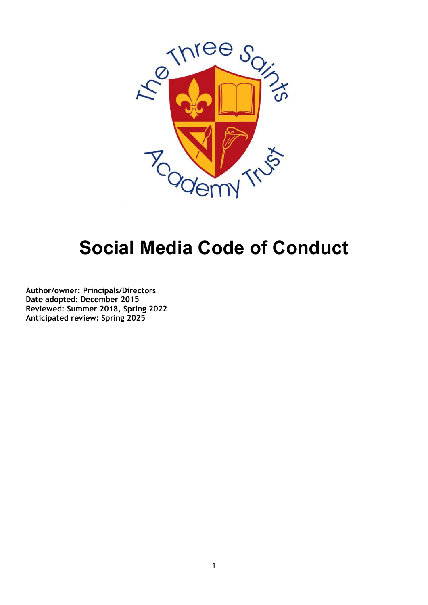

## **Social Media Code of Conduct**

**Author/owner: Principals/Directors Date adopted: December 2015 Reviewed: Summer 2018, Spring 2022 Anticipated review: Spring 2025**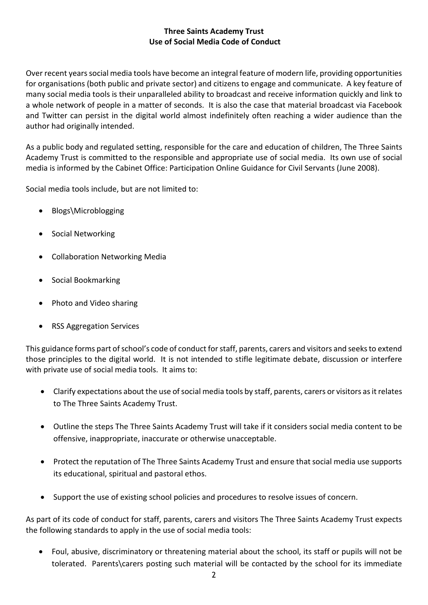## **Three Saints Academy Trust Use of Social Media Code of Conduct**

Over recent years social media tools have become an integral feature of modern life, providing opportunities for organisations (both public and private sector) and citizens to engage and communicate. A key feature of many social media tools is their unparalleled ability to broadcast and receive information quickly and link to a whole network of people in a matter of seconds. It is also the case that material broadcast via Facebook and Twitter can persist in the digital world almost indefinitely often reaching a wider audience than the author had originally intended.

As a public body and regulated setting, responsible for the care and education of children, The Three Saints Academy Trust is committed to the responsible and appropriate use of social media. Its own use of social media is informed by the Cabinet Office: Participation Online Guidance for Civil Servants (June 2008).

Social media tools include, but are not limited to:

- Blogs\Microblogging
- Social Networking
- Collaboration Networking Media
- Social Bookmarking
- Photo and Video sharing
- RSS Aggregation Services

This guidance forms part of school's code of conduct for staff, parents, carers and visitors and seeks to extend those principles to the digital world. It is not intended to stifle legitimate debate, discussion or interfere with private use of social media tools. It aims to:

- Clarify expectations about the use of social media tools by staff, parents, carers or visitors as it relates to The Three Saints Academy Trust.
- Outline the steps The Three Saints Academy Trust will take if it considers social media content to be offensive, inappropriate, inaccurate or otherwise unacceptable.
- Protect the reputation of The Three Saints Academy Trust and ensure that social media use supports its educational, spiritual and pastoral ethos.
- Support the use of existing school policies and procedures to resolve issues of concern.

As part of its code of conduct for staff, parents, carers and visitors The Three Saints Academy Trust expects the following standards to apply in the use of social media tools:

• Foul, abusive, discriminatory or threatening material about the school, its staff or pupils will not be tolerated. Parents\carers posting such material will be contacted by the school for its immediate